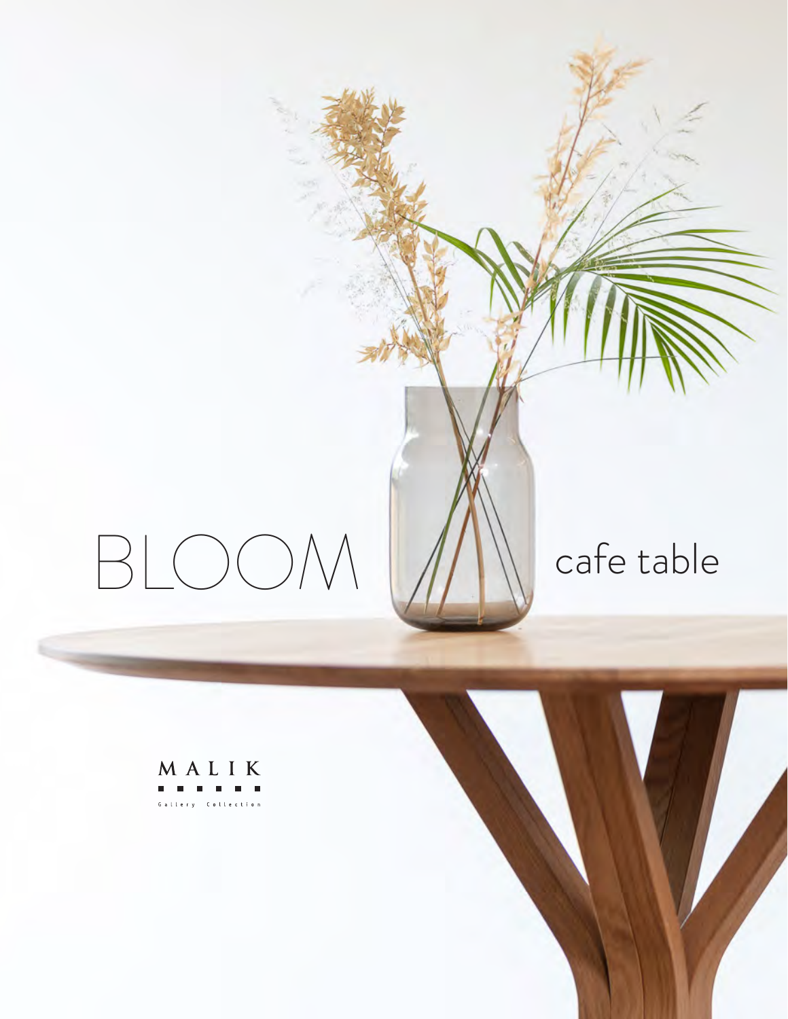# $BLOOM$   $M$  cafe table





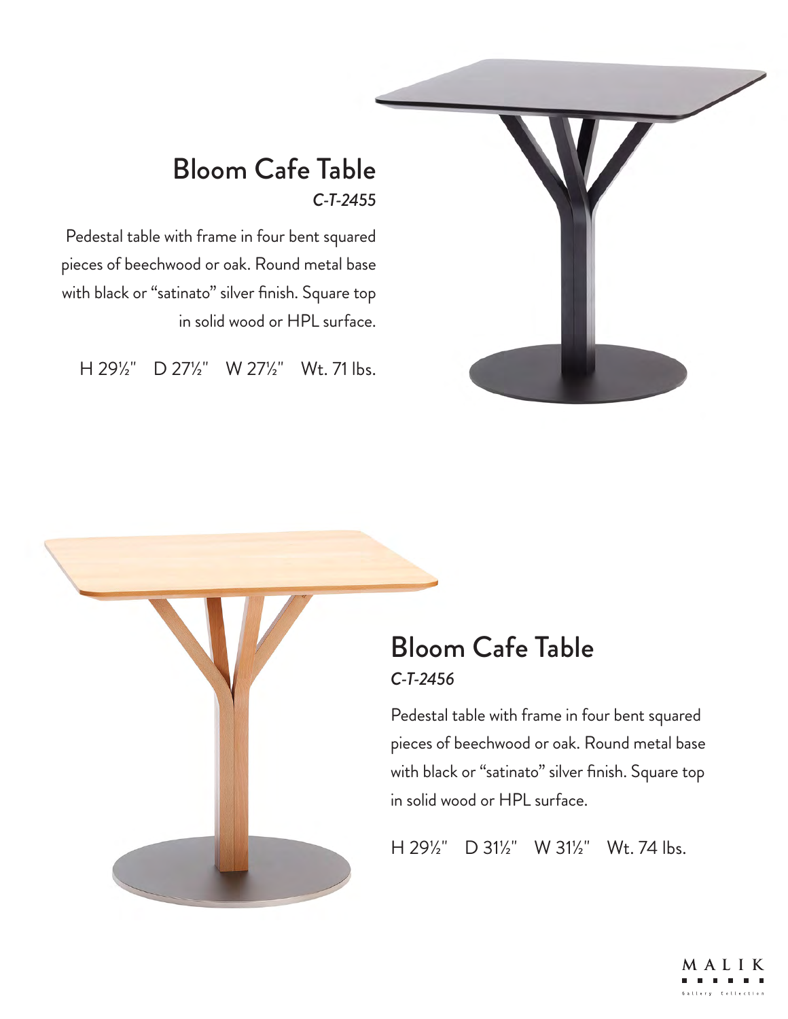

Pedestal table with frame in four bent squared pieces of beechwood or oak. Round metal base with black or "satinato" silver finish. Square top in solid wood or HPL surface.

H 29<sup>1</sup>/<sub>2</sub> D 27<sup>1</sup>/<sub>2</sub> W 27<sup>1</sup>/<sub>2</sub> W<sub>t.</sub> 71 lbs.



## Bloom Cafe Table *C-T-2456*

Pedestal table with frame in four bent squared pieces of beechwood or oak. Round metal base with black or "satinato" silver finish. Square top in solid wood or HPL surface.

H 29<sup>'</sup>/<sub>2</sub>" D 31<sup>'</sup>/<sub>2</sub>" W 31<sup>'</sup>/<sub>2</sub>" Wt. 74 lbs.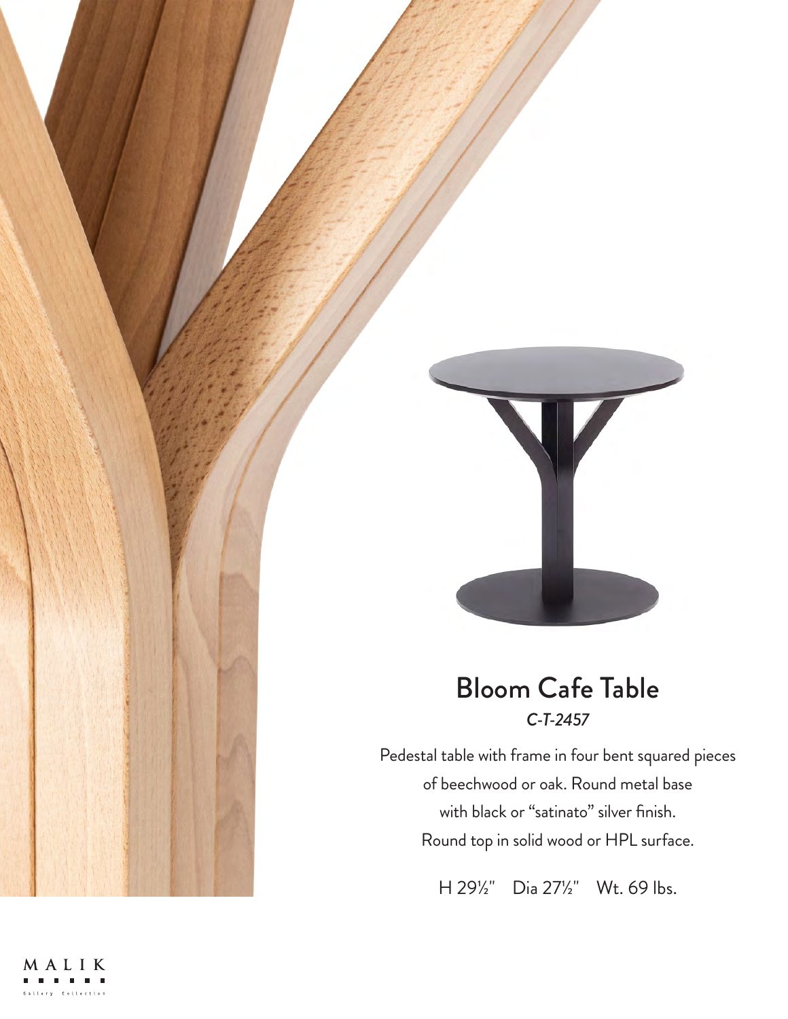

Pedestal table with frame in four bent squared pieces of beechwood or oak. Round metal base with black or "satinato" silver finish. Round top in solid wood or HPL surface.

H 29½" Dia 27½" Wt. 69 lbs.

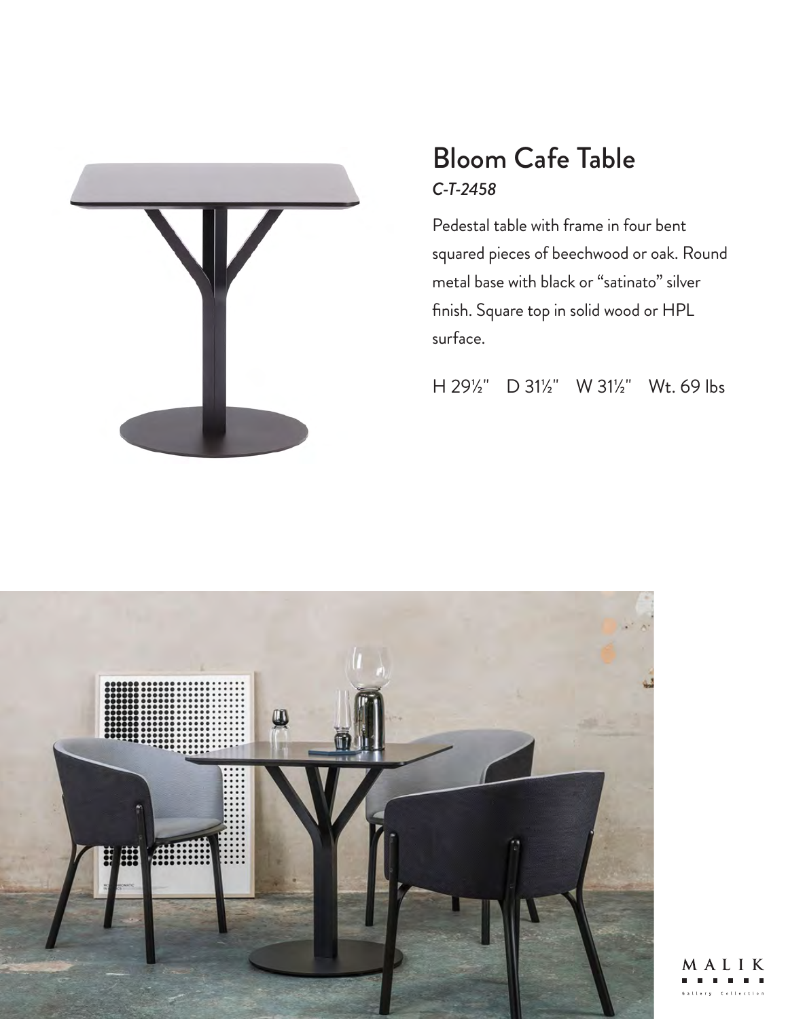

Pedestal table with frame in four bent squared pieces of beechwood or oak. Round metal base with black or "satinato" silver finish. Square top in solid wood or HPL surface.

H 291/2" D 311/2" W 311/2" Wt. 69 lbs



M A I